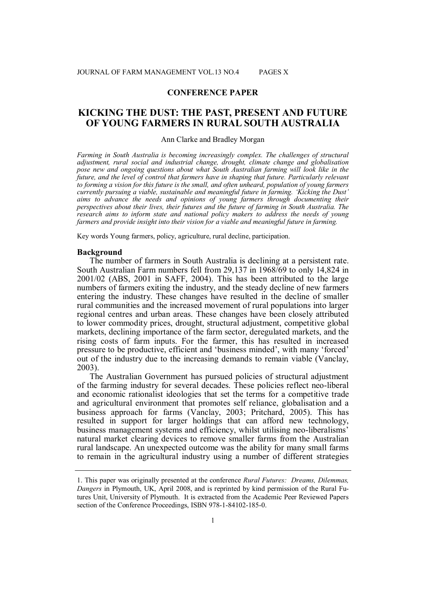## **CONFERENCE PAPER**

# **KICKING THE DUST: THE PAST, PRESENT AND FUTURE OF YOUNG FARMERS IN RURAL SOUTH AUSTRALIA**

### Ann Clarke and Bradley Morgan

*Farming in South Australia is becoming increasingly complex. The challenges of structural adjustment, rural social and industrial change, drought, climate change and globalisation pose new and ongoing questions about what South Australian farming will look like in the future, and the level of control that farmers have in shaping that future. Particularly relevant to forming a vision for this future is the small, and often unheard, population of young farmers currently pursuing a viable, sustainable and meaningful future in farming. 'Kicking the Dust' aims to advance the needs and opinions of young farmers through documenting their perspectives about their lives, their futures and the future of farming in South Australia. The research aims to inform state and national policy makers to address the needs of young farmers and provide insight into their vision for a viable and meaningful future in farming.*

Key words Young farmers, policy, agriculture, rural decline, participation.

#### **Background**

The number of farmers in South Australia is declining at a persistent rate. South Australian Farm numbers fell from 29,137 in 1968/69 to only 14,824 in 2001/02 (ABS, 2001 in SAFF, 2004). This has been attributed to the large numbers of farmers exiting the industry, and the steady decline of new farmers entering the industry. These changes have resulted in the decline of smaller rural communities and the increased movement of rural populations into larger regional centres and urban areas. These changes have been closely attributed to lower commodity prices, drought, structural adjustment, competitive global markets, declining importance of the farm sector, deregulated markets, and the rising costs of farm inputs. For the farmer, this has resulted in increased pressure to be productive, efficient and 'business minded', with many 'forced' out of the industry due to the increasing demands to remain viable (Vanclay, 2003).

The Australian Government has pursued policies of structural adjustment of the farming industry for several decades. These policies reflect neo-liberal and economic rationalist ideologies that set the terms for a competitive trade and agricultural environment that promotes self reliance, globalisation and a business approach for farms (Vanclay, 2003; Pritchard, 2005). This has resulted in support for larger holdings that can afford new technology, business management systems and efficiency, whilst utilising neo-liberalisms' natural market clearing devices to remove smaller farms from the Australian rural landscape. An unexpected outcome was the ability for many small farms to remain in the agricultural industry using a number of different strategies

<sup>1.</sup> This paper was originally presented at the conference *Rural Futures: Dreams, Dilemmas, Dangers* in Plymouth, UK, April 2008, and is reprinted by kind permission of the Rural Futures Unit, University of Plymouth. It is extracted from the Academic Peer Reviewed Papers section of the Conference Proceedings, ISBN 978-1-84102-185-0.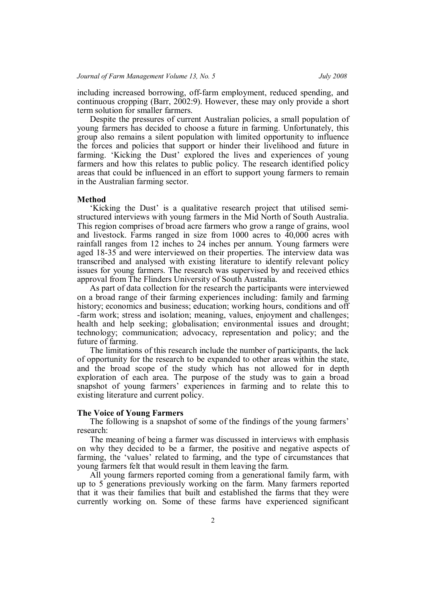including increased borrowing, off-farm employment, reduced spending, and continuous cropping (Barr, 2002:9). However, these may only provide a short term solution for smaller farmers.

Despite the pressures of current Australian policies, a small population of young farmers has decided to choose a future in farming. Unfortunately, this group also remains a silent population with limited opportunity to influence the forces and policies that support or hinder their livelihood and future in farming. 'Kicking the Dust' explored the lives and experiences of young farmers and how this relates to public policy. The research identified policy areas that could be influenced in an effort to support young farmers to remain in the Australian farming sector.

#### **Method**

'Kicking the Dust' is a qualitative research project that utilised semistructured interviews with young farmers in the Mid North of South Australia. This region comprises of broad acre farmers who grow a range of grains, wool and livestock. Farms ranged in size from 1000 acres to 40,000 acres with rainfall ranges from 12 inches to 24 inches per annum. Young farmers were aged 18-35 and were interviewed on their properties. The interview data was transcribed and analysed with existing literature to identify relevant policy issues for young farmers. The research was supervised by and received ethics approval from The Flinders University of South Australia.

As part of data collection for the research the participants were interviewed on a broad range of their farming experiences including: family and farming history; economics and business; education; working hours, conditions and off -farm work; stress and isolation; meaning, values, enjoyment and challenges; health and help seeking; globalisation; environmental issues and drought; technology; communication; advocacy, representation and policy; and the future of farming.

The limitations of this research include the number of participants, the lack of opportunity for the research to be expanded to other areas within the state, and the broad scope of the study which has not allowed for in depth exploration of each area. The purpose of the study was to gain a broad snapshot of young farmers' experiences in farming and to relate this to existing literature and current policy.

#### **The Voice of Young Farmers**

The following is a snapshot of some of the findings of the young farmers' research:

The meaning of being a farmer was discussed in interviews with emphasis on why they decided to be a farmer, the positive and negative aspects of farming, the 'values' related to farming, and the type of circumstances that young farmers felt that would result in them leaving the farm.

All young farmers reported coming from a generational family farm, with up to 5 generations previously working on the farm. Many farmers reported that it was their families that built and established the farms that they were currently working on. Some of these farms have experienced significant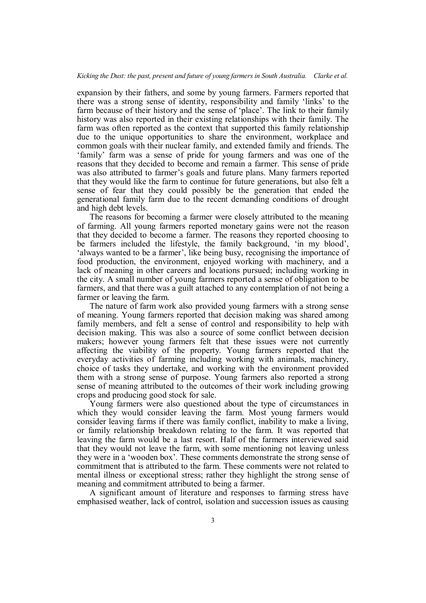expansion by their fathers, and some by young farmers. Farmers reported that there was a strong sense of identity, responsibility and family 'links' to the farm because of their history and the sense of 'place'. The link to their family history was also reported in their existing relationships with their family. The farm was often reported as the context that supported this family relationship due to the unique opportunities to share the environment, workplace and common goals with their nuclear family, and extended family and friends. The 'family' farm was a sense of pride for young farmers and was one of the reasons that they decided to become and remain a farmer. This sense of pride was also attributed to farmer's goals and future plans. Many farmers reported that they would like the farm to continue for future generations, but also felt a sense of fear that they could possibly be the generation that ended the generational family farm due to the recent demanding conditions of drought and high debt levels.

The reasons for becoming a farmer were closely attributed to the meaning of farming. All young farmers reported monetary gains were not the reason that they decided to become a farmer. The reasons they reported choosing to be farmers included the lifestyle, the family background, 'in my blood', 'always wanted to be a farmer', like being busy, recognising the importance of food production, the environment, enjoyed working with machinery, and a lack of meaning in other careers and locations pursued; including working in the city. A small number of young farmers reported a sense of obligation to be farmers, and that there was a guilt attached to any contemplation of not being a farmer or leaving the farm.

The nature of farm work also provided young farmers with a strong sense of meaning. Young farmers reported that decision making was shared among family members, and felt a sense of control and responsibility to help with decision making. This was also a source of some conflict between decision makers; however young farmers felt that these issues were not currently affecting the viability of the property. Young farmers reported that the everyday activities of farming including working with animals, machinery, choice of tasks they undertake, and working with the environment provided them with a strong sense of purpose. Young farmers also reported a strong sense of meaning attributed to the outcomes of their work including growing crops and producing good stock for sale.

Young farmers were also questioned about the type of circumstances in which they would consider leaving the farm. Most young farmers would consider leaving farms if there was family conflict, inability to make a living, or family relationship breakdown relating to the farm. It was reported that leaving the farm would be a last resort. Half of the farmers interviewed said that they would not leave the farm, with some mentioning not leaving unless they were in a 'wooden box'. These comments demonstrate the strong sense of commitment that is attributed to the farm. These comments were not related to mental illness or exceptional stress; rather they highlight the strong sense of meaning and commitment attributed to being a farmer.

A significant amount of literature and responses to farming stress have emphasised weather, lack of control, isolation and succession issues as causing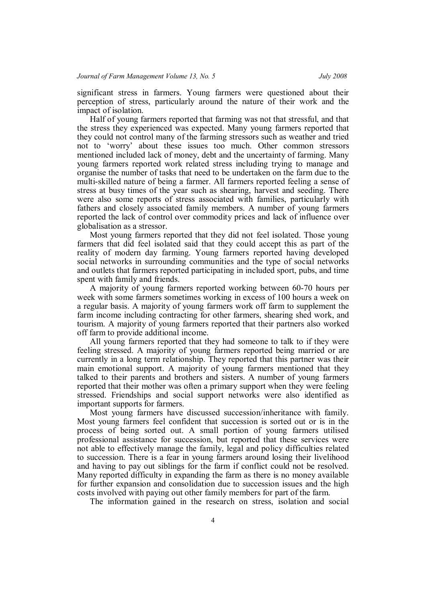significant stress in farmers. Young farmers were questioned about their perception of stress, particularly around the nature of their work and the impact of isolation.

Half of young farmers reported that farming was not that stressful, and that the stress they experienced was expected. Many young farmers reported that they could not control many of the farming stressors such as weather and tried not to 'worry' about these issues too much. Other common stressors mentioned included lack of money, debt and the uncertainty of farming. Many young farmers reported work related stress including trying to manage and organise the number of tasks that need to be undertaken on the farm due to the multi-skilled nature of being a farmer. All farmers reported feeling a sense of stress at busy times of the year such as shearing, harvest and seeding. There were also some reports of stress associated with families, particularly with fathers and closely associated family members. A number of young farmers reported the lack of control over commodity prices and lack of influence over globalisation as a stressor.

Most young farmers reported that they did not feel isolated. Those young farmers that did feel isolated said that they could accept this as part of the reality of modern day farming. Young farmers reported having developed social networks in surrounding communities and the type of social networks and outlets that farmers reported participating in included sport, pubs, and time spent with family and friends.

A majority of young farmers reported working between 60-70 hours per week with some farmers sometimes working in excess of 100 hours a week on a regular basis. A majority of young farmers work off farm to supplement the farm income including contracting for other farmers, shearing shed work, and tourism. A majority of young farmers reported that their partners also worked off farm to provide additional income.

All young farmers reported that they had someone to talk to if they were feeling stressed. A majority of young farmers reported being married or are currently in a long term relationship. They reported that this partner was their main emotional support. A majority of young farmers mentioned that they talked to their parents and brothers and sisters. A number of young farmers reported that their mother was often a primary support when they were feeling stressed. Friendships and social support networks were also identified as important supports for farmers.

Most young farmers have discussed succession/inheritance with family. Most young farmers feel confident that succession is sorted out or is in the process of being sorted out. A small portion of young farmers utilised professional assistance for succession, but reported that these services were not able to effectively manage the family, legal and policy difficulties related to succession. There is a fear in young farmers around losing their livelihood and having to pay out siblings for the farm if conflict could not be resolved. Many reported difficulty in expanding the farm as there is no money available for further expansion and consolidation due to succession issues and the high costs involved with paying out other family members for part of the farm.

The information gained in the research on stress, isolation and social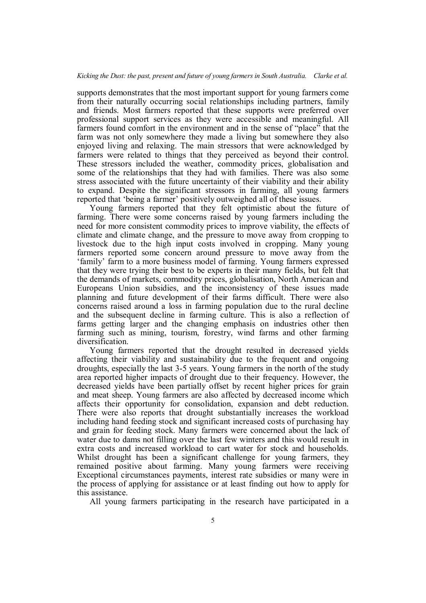supports demonstrates that the most important support for young farmers come from their naturally occurring social relationships including partners, family and friends. Most farmers reported that these supports were preferred over professional support services as they were accessible and meaningful. All farmers found comfort in the environment and in the sense of "place" that the farm was not only somewhere they made a living but somewhere they also enjoyed living and relaxing. The main stressors that were acknowledged by farmers were related to things that they perceived as beyond their control. These stressors included the weather, commodity prices, globalisation and some of the relationships that they had with families. There was also some stress associated with the future uncertainty of their viability and their ability to expand. Despite the significant stressors in farming, all young farmers reported that 'being a farmer' positively outweighed all of these issues.

Young farmers reported that they felt optimistic about the future of farming. There were some concerns raised by young farmers including the need for more consistent commodity prices to improve viability, the effects of climate and climate change, and the pressure to move away from cropping to livestock due to the high input costs involved in cropping. Many young farmers reported some concern around pressure to move away from the 'family' farm to a more business model of farming. Young farmers expressed that they were trying their best to be experts in their many fields, but felt that the demands of markets, commodity prices, globalisation, North American and Europeans Union subsidies, and the inconsistency of these issues made planning and future development of their farms difficult. There were also concerns raised around a loss in farming population due to the rural decline and the subsequent decline in farming culture. This is also a reflection of farms getting larger and the changing emphasis on industries other then farming such as mining, tourism, forestry, wind farms and other farming diversification.

Young farmers reported that the drought resulted in decreased yields affecting their viability and sustainability due to the frequent and ongoing droughts, especially the last 3-5 years. Young farmers in the north of the study area reported higher impacts of drought due to their frequency. However, the decreased yields have been partially offset by recent higher prices for grain and meat sheep. Young farmers are also affected by decreased income which affects their opportunity for consolidation, expansion and debt reduction. There were also reports that drought substantially increases the workload including hand feeding stock and significant increased costs of purchasing hay and grain for feeding stock. Many farmers were concerned about the lack of water due to dams not filling over the last few winters and this would result in extra costs and increased workload to cart water for stock and households. Whilst drought has been a significant challenge for young farmers, they remained positive about farming. Many young farmers were receiving Exceptional circumstances payments, interest rate subsidies or many were in the process of applying for assistance or at least finding out how to apply for this assistance.

All young farmers participating in the research have participated in a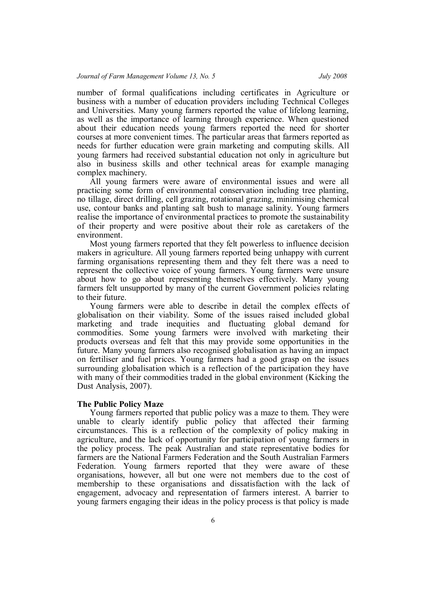number of formal qualifications including certificates in Agriculture or business with a number of education providers including Technical Colleges and Universities. Many young farmers reported the value of lifelong learning, as well as the importance of learning through experience. When questioned about their education needs young farmers reported the need for shorter courses at more convenient times. The particular areas that farmers reported as needs for further education were grain marketing and computing skills. All young farmers had received substantial education not only in agriculture but also in business skills and other technical areas for example managing complex machinery.

All young farmers were aware of environmental issues and were all practicing some form of environmental conservation including tree planting, no tillage, direct drilling, cell grazing, rotational grazing, minimising chemical use, contour banks and planting salt bush to manage salinity. Young farmers realise the importance of environmental practices to promote the sustainability of their property and were positive about their role as caretakers of the environment.

Most young farmers reported that they felt powerless to influence decision makers in agriculture. All young farmers reported being unhappy with current farming organisations representing them and they felt there was a need to represent the collective voice of young farmers. Young farmers were unsure about how to go about representing themselves effectively. Many young farmers felt unsupported by many of the current Government policies relating to their future.

Young farmers were able to describe in detail the complex effects of globalisation on their viability. Some of the issues raised included global marketing and trade inequities and fluctuating global demand for commodities. Some young farmers were involved with marketing their products overseas and felt that this may provide some opportunities in the future. Many young farmers also recognised globalisation as having an impact on fertiliser and fuel prices. Young farmers had a good grasp on the issues surrounding globalisation which is a reflection of the participation they have with many of their commodities traded in the global environment (Kicking the Dust Analysis, 2007).

#### **The Public Policy Maze**

Young farmers reported that public policy was a maze to them. They were unable to clearly identify public policy that affected their farming circumstances. This is a reflection of the complexity of policy making in agriculture, and the lack of opportunity for participation of young farmers in the policy process. The peak Australian and state representative bodies for farmers are the National Farmers Federation and the South Australian Farmers Federation. Young farmers reported that they were aware of these organisations, however, all but one were not members due to the cost of membership to these organisations and dissatisfaction with the lack of engagement, advocacy and representation of farmers interest. A barrier to young farmers engaging their ideas in the policy process is that policy is made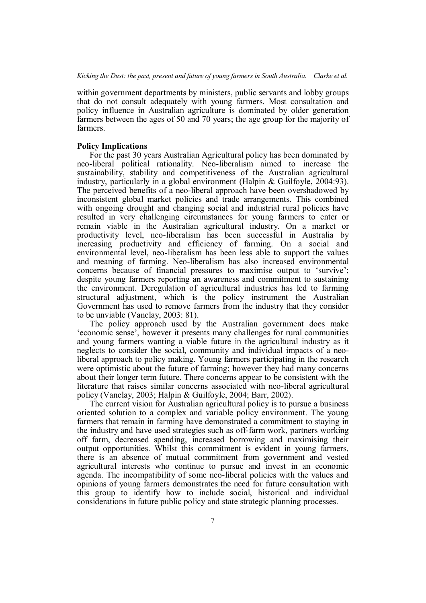within government departments by ministers, public servants and lobby groups that do not consult adequately with young farmers. Most consultation and policy influence in Australian agriculture is dominated by older generation farmers between the ages of 50 and 70 years; the age group for the majority of farmers.

#### **Policy Implications**

For the past 30 years Australian Agricultural policy has been dominated by neo-liberal political rationality. Neo-liberalism aimed to increase the sustainability, stability and competitiveness of the Australian agricultural industry, particularly in a global environment (Halpin & Guilfoyle, 2004:93). The perceived benefits of a neo-liberal approach have been overshadowed by inconsistent global market policies and trade arrangements. This combined with ongoing drought and changing social and industrial rural policies have resulted in very challenging circumstances for young farmers to enter or remain viable in the Australian agricultural industry. On a market or productivity level, neo-liberalism has been successful in Australia by increasing productivity and efficiency of farming. On a social and environmental level, neo-liberalism has been less able to support the values and meaning of farming. Neo-liberalism has also increased environmental concerns because of financial pressures to maximise output to 'survive'; despite young farmers reporting an awareness and commitment to sustaining the environment. Deregulation of agricultural industries has led to farming structural adjustment, which is the policy instrument the Australian Government has used to remove farmers from the industry that they consider to be unviable (Vanclay, 2003: 81).

The policy approach used by the Australian government does make 'economic sense', however it presents many challenges for rural communities and young farmers wanting a viable future in the agricultural industry as it neglects to consider the social, community and individual impacts of a neoliberal approach to policy making. Young farmers participating in the research were optimistic about the future of farming; however they had many concerns about their longer term future. There concerns appear to be consistent with the literature that raises similar concerns associated with neo-liberal agricultural policy (Vanclay, 2003; Halpin & Guilfoyle, 2004; Barr, 2002).

The current vision for Australian agricultural policy is to pursue a business oriented solution to a complex and variable policy environment. The young farmers that remain in farming have demonstrated a commitment to staying in the industry and have used strategies such as off-farm work, partners working off farm, decreased spending, increased borrowing and maximising their output opportunities. Whilst this commitment is evident in young farmers, there is an absence of mutual commitment from government and vested agricultural interests who continue to pursue and invest in an economic agenda. The incompatibility of some neo-liberal policies with the values and opinions of young farmers demonstrates the need for future consultation with this group to identify how to include social, historical and individual considerations in future public policy and state strategic planning processes.